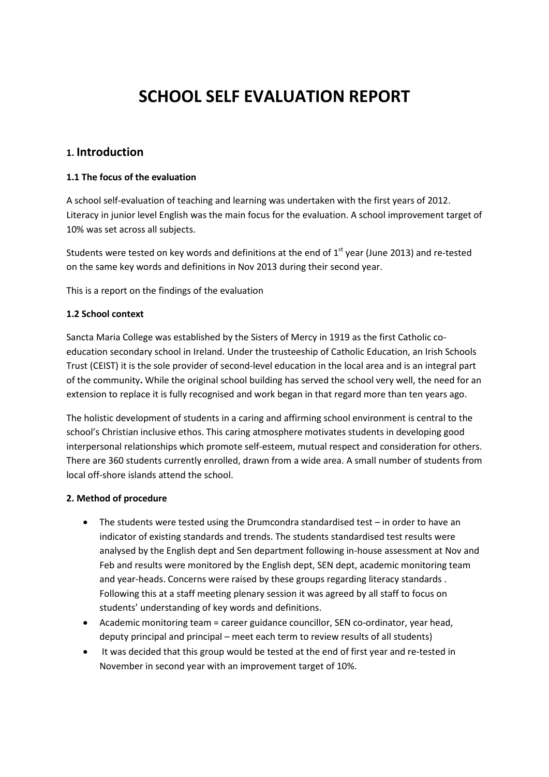# **SCHOOL SELF EVALUATION REPORT**

## **1. Introduction**

#### **1.1 The focus of the evaluation**

A school self-evaluation of teaching and learning was undertaken with the first years of 2012. Literacy in junior level English was the main focus for the evaluation. A school improvement target of 10% was set across all subjects.

Students were tested on key words and definitions at the end of  $1<sup>st</sup>$  year (June 2013) and re-tested on the same key words and definitions in Nov 2013 during their second year.

This is a report on the findings of the evaluation

#### **1.2 School context**

Sancta Maria College was established by the Sisters of Mercy in 1919 as the first Catholic coeducation secondary school in Ireland. Under the trusteeship of Catholic Education, an Irish Schools Trust (CEIST) it is the sole provider of second-level education in the local area and is an integral part of the community**.** While the original school building has served the school very well, the need for an extension to replace it is fully recognised and work began in that regard more than ten years ago.

The holistic development of students in a caring and affirming school environment is central to the school's Christian inclusive ethos. This caring atmosphere motivates students in developing good interpersonal relationships which promote self-esteem, mutual respect and consideration for others. There are 360 students currently enrolled, drawn from a wide area. A small number of students from local off-shore islands attend the school.

#### **2. Method of procedure**

- The students were tested using the Drumcondra standardised test in order to have an indicator of existing standards and trends. The students standardised test results were analysed by the English dept and Sen department following in-house assessment at Nov and Feb and results were monitored by the English dept, SEN dept, academic monitoring team and year-heads. Concerns were raised by these groups regarding literacy standards . Following this at a staff meeting plenary session it was agreed by all staff to focus on students' understanding of key words and definitions.
- Academic monitoring team = career guidance councillor, SEN co-ordinator, year head, deputy principal and principal – meet each term to review results of all students)
- It was decided that this group would be tested at the end of first year and re-tested in November in second year with an improvement target of 10%.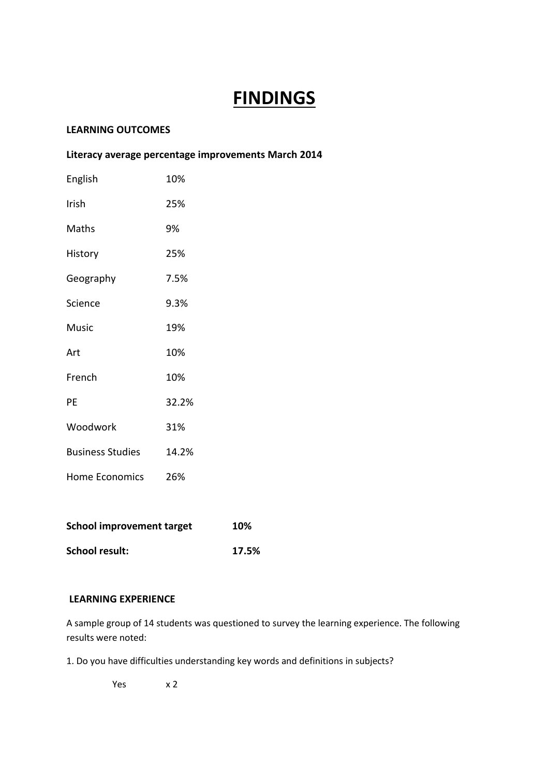# **FINDINGS**

## **LEARNING OUTCOMES**

# **Literacy average percentage improvements March 2014**

| English                 | 10%   |
|-------------------------|-------|
| Irish                   | 25%   |
| Maths                   | 9%    |
| History                 | 25%   |
| Geography               | 7.5%  |
| Science                 | 9.3%  |
| <b>Music</b>            | 19%   |
| Art                     | 10%   |
| French                  | 10%   |
| PE                      | 32.2% |
| Woodwork                | 31%   |
| <b>Business Studies</b> | 14.2% |
| Home Economics          | 26%   |
|                         |       |

| School improvement target | 10%   |
|---------------------------|-------|
| School result:            | 17.5% |

#### **LEARNING EXPERIENCE**

A sample group of 14 students was questioned to survey the learning experience. The following results were noted:

1. Do you have difficulties understanding key words and definitions in subjects?

Yes x 2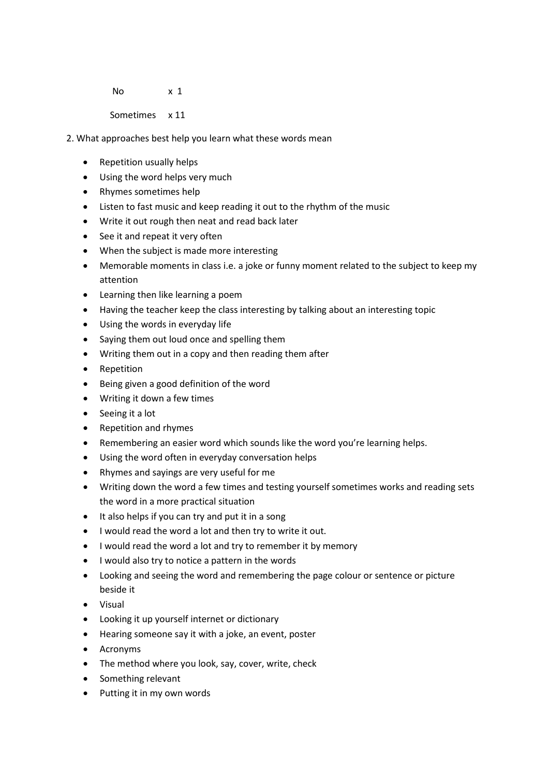No x 1

Sometimes x 11

2. What approaches best help you learn what these words mean

- Repetition usually helps
- Using the word helps very much
- Rhymes sometimes help
- Listen to fast music and keep reading it out to the rhythm of the music
- Write it out rough then neat and read back later
- See it and repeat it very often
- When the subject is made more interesting
- Memorable moments in class i.e. a joke or funny moment related to the subject to keep my attention
- Learning then like learning a poem
- Having the teacher keep the class interesting by talking about an interesting topic
- Using the words in everyday life
- Saying them out loud once and spelling them
- Writing them out in a copy and then reading them after
- Repetition
- Being given a good definition of the word
- Writing it down a few times
- Seeing it a lot
- Repetition and rhymes
- Remembering an easier word which sounds like the word you're learning helps.
- Using the word often in everyday conversation helps
- Rhymes and sayings are very useful for me
- Writing down the word a few times and testing yourself sometimes works and reading sets the word in a more practical situation
- It also helps if you can try and put it in a song
- I would read the word a lot and then try to write it out.
- I would read the word a lot and try to remember it by memory
- I would also try to notice a pattern in the words
- Looking and seeing the word and remembering the page colour or sentence or picture beside it
- Visual
- Looking it up yourself internet or dictionary
- Hearing someone say it with a joke, an event, poster
- Acronyms
- The method where you look, say, cover, write, check
- Something relevant
- Putting it in my own words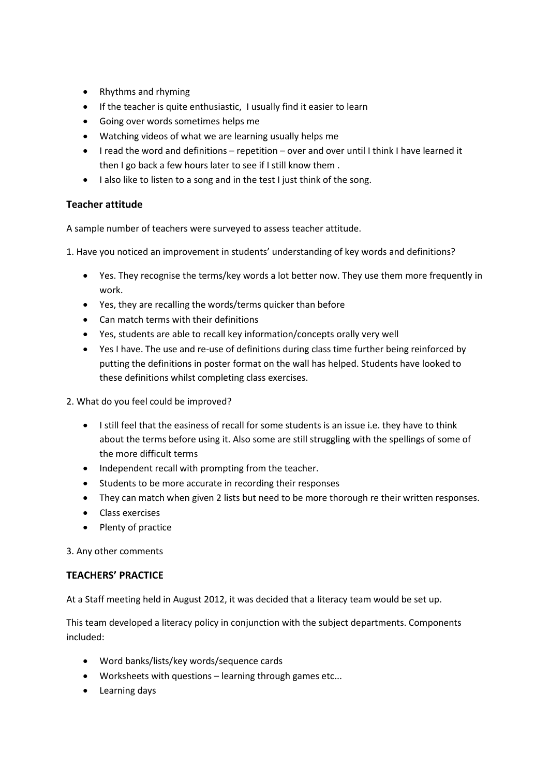- Rhythms and rhyming
- If the teacher is quite enthusiastic, I usually find it easier to learn
- Going over words sometimes helps me
- Watching videos of what we are learning usually helps me
- I read the word and definitions repetition over and over until I think I have learned it then I go back a few hours later to see if I still know them .
- I also like to listen to a song and in the test I just think of the song.

## **Teacher attitude**

A sample number of teachers were surveyed to assess teacher attitude.

1. Have you noticed an improvement in students' understanding of key words and definitions?

- Yes. They recognise the terms/key words a lot better now. They use them more frequently in work.
- Yes, they are recalling the words/terms quicker than before
- Can match terms with their definitions
- Yes, students are able to recall key information/concepts orally very well
- Yes I have. The use and re-use of definitions during class time further being reinforced by putting the definitions in poster format on the wall has helped. Students have looked to these definitions whilst completing class exercises.
- 2. What do you feel could be improved?
	- I still feel that the easiness of recall for some students is an issue i.e. they have to think about the terms before using it. Also some are still struggling with the spellings of some of the more difficult terms
	- Independent recall with prompting from the teacher.
	- Students to be more accurate in recording their responses
	- They can match when given 2 lists but need to be more thorough re their written responses.
	- Class exercises
	- Plenty of practice

3. Any other comments

#### **TEACHERS' PRACTICE**

At a Staff meeting held in August 2012, it was decided that a literacy team would be set up.

This team developed a literacy policy in conjunction with the subject departments. Components included:

- Word banks/lists/key words/sequence cards
- Worksheets with questions learning through games etc...
- Learning days